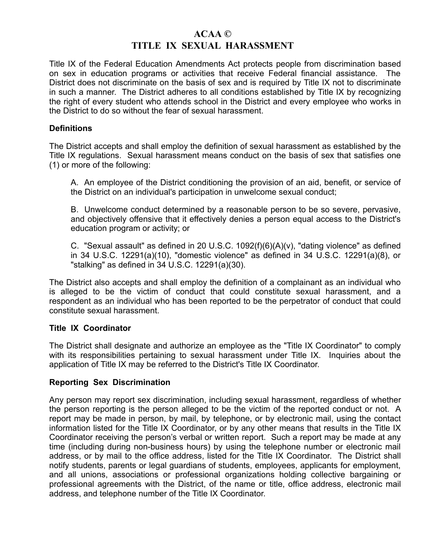# **ACAA © TITLE IX SEXUAL HARASSMENT**

Title IX of the Federal Education Amendments Act protects people from discrimination based on sex in education programs or activities that receive Federal financial assistance. The District does not discriminate on the basis of sex and is required by Title IX not to discriminate in such a manner. The District adheres to all conditions established by Title IX by recognizing the right of every student who attends school in the District and every employee who works in the District to do so without the fear of sexual harassment.

## **Definitions**

The District accepts and shall employ the definition of sexual harassment as established by the Title IX regulations. Sexual harassment means conduct on the basis of sex that satisfies one (1) or more of the following:

A. An employee of the District conditioning the provision of an aid, benefit, or service of the District on an individual's participation in unwelcome sexual conduct;

B. Unwelcome conduct determined by a reasonable person to be so severe, pervasive, and objectively offensive that it effectively denies a person equal access to the District's education program or activity; or

C. "Sexual assault" as defined in 20 U.S.C.  $1092(f)(6)(A)(v)$ , "dating violence" as defined in 34 U.S.C. 12291(a)(10), "domestic violence" as defined in 34 U.S.C. 12291(a)(8), or "stalking" as defined in 34 U.S.C. 12291(a)(30).

The District also accepts and shall employ the definition of a complainant as an individual who is alleged to be the victim of conduct that could constitute sexual harassment, and a respondent as an individual who has been reported to be the perpetrator of conduct that could constitute sexual harassment.

## **Title IX Coordinator**

The District shall designate and authorize an employee as the "Title IX Coordinator" to comply with its responsibilities pertaining to sexual harassment under Title IX. Inquiries about the application of Title IX may be referred to the District's Title IX Coordinator.

## **Reporting Sex Discrimination**

Any person may report sex discrimination, including sexual harassment, regardless of whether the person reporting is the person alleged to be the victim of the reported conduct or not. A report may be made in person, by mail, by telephone, or by electronic mail, using the contact information listed for the Title IX Coordinator, or by any other means that results in the Title IX Coordinator receiving the person's verbal or written report. Such a report may be made at any time (including during non-business hours) by using the telephone number or electronic mail address, or by mail to the office address, listed for the Title IX Coordinator. The District shall notify students, parents or legal guardians of students, employees, applicants for employment, and all unions, associations or professional organizations holding collective bargaining or professional agreements with the District, of the name or title, office address, electronic mail address, and telephone number of the Title IX Coordinator.